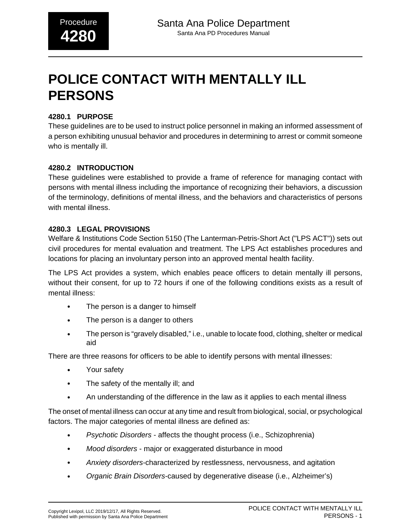# **POLICE CONTACT WITH MENTALLY ILL PERSONS**

### **4280.1 PURPOSE**

These guidelines are to be used to instruct police personnel in making an informed assessment of a person exhibiting unusual behavior and procedures in determining to arrest or commit someone who is mentally ill.

### **4280.2 INTRODUCTION**

These guidelines were established to provide a frame of reference for managing contact with persons with mental illness including the importance of recognizing their behaviors, a discussion of the terminology, definitions of mental illness, and the behaviors and characteristics of persons with mental illness.

### **4280.3 LEGAL PROVISIONS**

Welfare & Institutions Code Section 5150 (The Lanterman-Petris-Short Act ("LPS ACT")) sets out civil procedures for mental evaluation and treatment. The LPS Act establishes procedures and locations for placing an involuntary person into an approved mental health facility.

The LPS Act provides a system, which enables peace officers to detain mentally ill persons, without their consent, for up to 72 hours if one of the following conditions exists as a result of mental illness:

- The person is a danger to himself
- The person is a danger to others
- The person is "gravely disabled," i.e., unable to locate food, clothing, shelter or medical aid

There are three reasons for officers to be able to identify persons with mental illnesses:

- Your safety
- The safety of the mentally ill; and
- An understanding of the difference in the law as it applies to each mental illness

The onset of mental illness can occur at any time and result from biological, social, or psychological factors. The major categories of mental illness are defined as:

- Psychotic Disorders affects the thought process (i.e., Schizophrenia)
- Mood disorders major or exaggerated disturbance in mood
- Anxiety disorders-characterized by restlessness, nervousness, and agitation
- Organic Brain Disorders-caused by degenerative disease (i.e., Alzheimer's)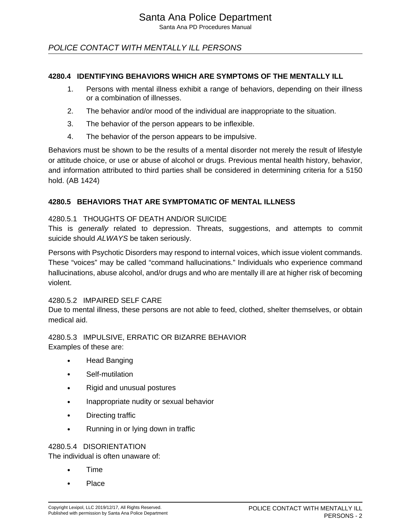### POLICE CONTACT WITH MENTALLY ILL PERSONS

### **4280.4 IDENTIFYING BEHAVIORS WHICH ARE SYMPTOMS OF THE MENTALLY ILL**

- 1. Persons with mental illness exhibit a range of behaviors, depending on their illness or a combination of illnesses.
- 2. The behavior and/or mood of the individual are inappropriate to the situation.
- 3. The behavior of the person appears to be inflexible.
- 4. The behavior of the person appears to be impulsive.

Behaviors must be shown to be the results of a mental disorder not merely the result of lifestyle or attitude choice, or use or abuse of alcohol or drugs. Previous mental health history, behavior, and information attributed to third parties shall be considered in determining criteria for a 5150 hold. (AB 1424)

### **4280.5 BEHAVIORS THAT ARE SYMPTOMATIC OF MENTAL ILLNESS**

#### 4280.5.1 THOUGHTS OF DEATH AND/OR SUICIDE

This is generally related to depression. Threats, suggestions, and attempts to commit suicide should ALWAYS be taken seriously.

Persons with Psychotic Disorders may respond to internal voices, which issue violent commands. These "voices" may be called "command hallucinations." Individuals who experience command hallucinations, abuse alcohol, and/or drugs and who are mentally ill are at higher risk of becoming violent.

#### 4280.5.2 IMPAIRED SELF CARE

Due to mental illness, these persons are not able to feed, clothed, shelter themselves, or obtain medical aid.

4280.5.3 IMPULSIVE, ERRATIC OR BIZARRE BEHAVIOR Examples of these are:

- Head Banging
- Self-mutilation
- Rigid and unusual postures
- Inappropriate nudity or sexual behavior
- Directing traffic
- Running in or lying down in traffic

#### 4280.5.4 DISORIENTATION

The individual is often unaware of:

- Time
- Place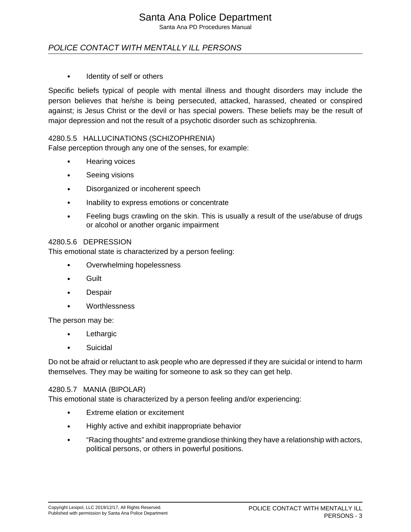Santa Ana PD Procedures Manual

### POLICE CONTACT WITH MENTALLY ILL PERSONS

• Identity of self or others

Specific beliefs typical of people with mental illness and thought disorders may include the person believes that he/she is being persecuted, attacked, harassed, cheated or conspired against; is Jesus Christ or the devil or has special powers. These beliefs may be the result of major depression and not the result of a psychotic disorder such as schizophrenia.

### 4280.5.5 HALLUCINATIONS (SCHIZOPHRENIA)

False perception through any one of the senses, for example:

- Hearing voices
- Seeing visions
- Disorganized or incoherent speech
- Inability to express emotions or concentrate
- Feeling bugs crawling on the skin. This is usually a result of the use/abuse of drugs or alcohol or another organic impairment

#### 4280.5.6 DEPRESSION

This emotional state is characterized by a person feeling:

- Overwhelming hopelessness
- Guilt
- **Despair**
- **Worthlessness**

The person may be:

- **Lethargic**
- **Suicidal**

Do not be afraid or reluctant to ask people who are depressed if they are suicidal or intend to harm themselves. They may be waiting for someone to ask so they can get help.

#### 4280.5.7 MANIA (BIPOLAR)

This emotional state is characterized by a person feeling and/or experiencing:

- Extreme elation or excitement
- Highly active and exhibit inappropriate behavior
- "Racing thoughts" and extreme grandiose thinking they have a relationship with actors, political persons, or others in powerful positions.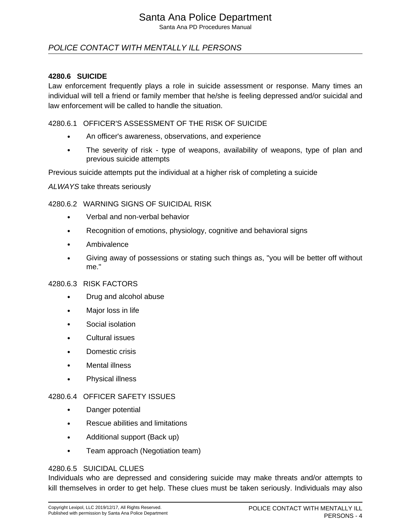Santa Ana PD Procedures Manual

### POLICE CONTACT WITH MENTALLY ILL PERSONS

### **4280.6 SUICIDE**

Law enforcement frequently plays a role in suicide assessment or response. Many times an individual will tell a friend or family member that he/she is feeling depressed and/or suicidal and law enforcement will be called to handle the situation.

### 4280.6.1 OFFICER'S ASSESSMENT OF THE RISK OF SUICIDE

- An officer's awareness, observations, and experience
- The severity of risk type of weapons, availability of weapons, type of plan and previous suicide attempts

Previous suicide attempts put the individual at a higher risk of completing a suicide

ALWAYS take threats seriously

### 4280.6.2 WARNING SIGNS OF SUICIDAL RISK

- Verbal and non-verbal behavior
- Recognition of emotions, physiology, cognitive and behavioral signs
- Ambivalence
- Giving away of possessions or stating such things as, "you will be better off without me."

#### 4280.6.3 RISK FACTORS

- Drug and alcohol abuse
- Major loss in life
- Social isolation
- Cultural issues
- Domestic crisis
- **Mental illness**
- Physical illness

#### 4280.6.4 OFFICER SAFETY ISSUES

- Danger potential
- Rescue abilities and limitations
- Additional support (Back up)
- Team approach (Negotiation team)

#### 4280.6.5 SUICIDAL CLUES

Individuals who are depressed and considering suicide may make threats and/or attempts to kill themselves in order to get help. These clues must be taken seriously. Individuals may also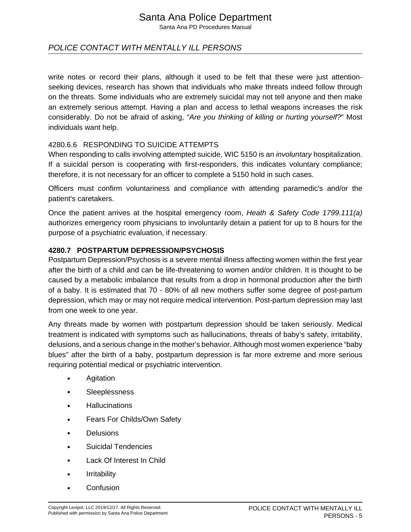Santa Ana PD Procedures Manual

### POLICE CONTACT WITH MENTALLY ILL PERSONS

write notes or record their plans, although it used to be felt that these were just attentionseeking devices, research has shown that individuals who make threats indeed follow through on the threats. Some individuals who are extremely suicidal may not tell anyone and then make an extremely serious attempt. Having a plan and access to lethal weapons increases the risk considerably. Do not be afraid of asking, "Are you thinking of killing or hurting yourself?" Most individuals want help.

### 4280.6.6 RESPONDING TO SUICIDE ATTEMPTS

When responding to calls involving attempted suicide, WIC 5150 is an *involuntary* hospitalization. If a suicidal person is cooperating with first-responders, this indicates voluntary compliance; therefore, it is not necessary for an officer to complete a 5150 hold in such cases.

Officers must confirm voluntariness and compliance with attending paramedic's and/or the patient's caretakers.

Once the patient arrives at the hospital emergency room, Heath & Safety Code 1799.111(a) authorizes emergency room physicians to involuntarily detain a patient for up to 8 hours for the purpose of a psychiatric evaluation, if necessary.

### **4280.7 POSTPARTUM DEPRESSION/PSYCHOSIS**

Postpartum Depression/Psychosis is a severe mental illness affecting women within the first year after the birth of a child and can be life-threatening to women and/or children. It is thought to be caused by a metabolic imbalance that results from a drop in hormonal production after the birth of a baby. It is estimated that 70 - 80% of all new mothers suffer some degree of post-partum depression, which may or may not require medical intervention. Post-partum depression may last from one week to one year.

Any threats made by women with postpartum depression should be taken seriously. Medical treatment is indicated with symptoms such as hallucinations, threats of baby's safety, irritability, delusions, and a serious change in the mother's behavior. Although most women experience "baby blues" after the birth of a baby, postpartum depression is far more extreme and more serious requiring potential medical or psychiatric intervention.

- **Agitation**
- **Sleeplessness**
- Hallucinations
- Fears For Childs/Own Safety
- Delusions
- Suicidal Tendencies
- Lack Of Interest In Child
- Irritability
- Confusion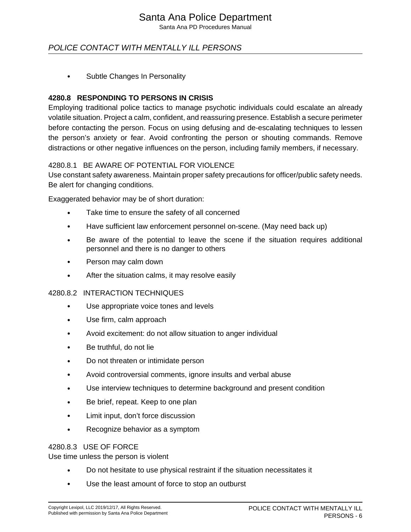Santa Ana PD Procedures Manual

### POLICE CONTACT WITH MENTALLY ILL PERSONS

• Subtle Changes In Personality

### **4280.8 RESPONDING TO PERSONS IN CRISIS**

Employing traditional police tactics to manage psychotic individuals could escalate an already volatile situation. Project a calm, confident, and reassuring presence. Establish a secure perimeter before contacting the person. Focus on using defusing and de-escalating techniques to lessen the person's anxiety or fear. Avoid confronting the person or shouting commands. Remove distractions or other negative influences on the person, including family members, if necessary.

### 4280.8.1 BE AWARE OF POTENTIAL FOR VIOLENCE

Use constant safety awareness. Maintain proper safety precautions for officer/public safety needs. Be alert for changing conditions.

Exaggerated behavior may be of short duration:

- Take time to ensure the safety of all concerned
- Have sufficient law enforcement personnel on-scene. (May need back up)
- Be aware of the potential to leave the scene if the situation requires additional personnel and there is no danger to others
- Person may calm down
- After the situation calms, it may resolve easily

#### 4280.8.2 INTERACTION TECHNIQUES

- Use appropriate voice tones and levels
- Use firm, calm approach
- Avoid excitement: do not allow situation to anger individual
- Be truthful, do not lie
- Do not threaten or intimidate person
- Avoid controversial comments, ignore insults and verbal abuse
- Use interview techniques to determine background and present condition
- Be brief, repeat. Keep to one plan
- Limit input, don't force discussion
- Recognize behavior as a symptom

#### 4280.8.3 USE OF FORCE

Use time unless the person is violent

- Do not hesitate to use physical restraint if the situation necessitates it
- Use the least amount of force to stop an outburst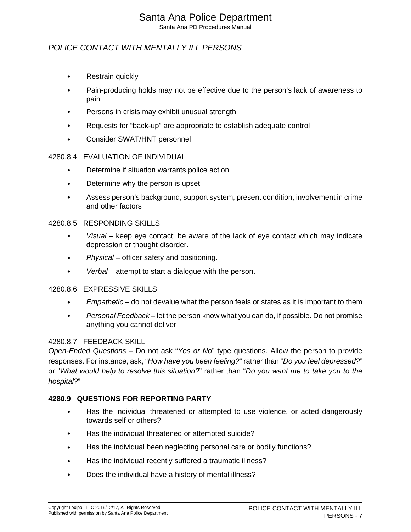Santa Ana PD Procedures Manual

### POLICE CONTACT WITH MENTALLY ILL PERSONS

- Restrain quickly
- Pain-producing holds may not be effective due to the person's lack of awareness to pain
- Persons in crisis may exhibit unusual strength
- Requests for "back-up" are appropriate to establish adequate control
- Consider SWAT/HNT personnel

#### 4280.8.4 EVALUATION OF INDIVIDUAL

- Determine if situation warrants police action
- Determine why the person is upset
- Assess person's background, support system, present condition, involvement in crime and other factors

#### 4280.8.5 RESPONDING SKILLS

- $V$ isual keep eye contact; be aware of the lack of eye contact which may indicate depression or thought disorder.
- Physical officer safety and positioning.
- Verbal attempt to start a dialogue with the person.

#### 4280.8.6 EXPRESSIVE SKILLS

- Empathetic do not devalue what the person feels or states as it is important to them
- Personal Feedback let the person know what you can do, if possible. Do not promise anything you cannot deliver

#### 4280.8.7 FEEDBACK SKILL

Open-Ended Questions – Do not ask "Yes or No" type questions. Allow the person to provide responses. For instance, ask, "How have you been feeling?" rather than "Do you feel depressed?" or "What would help to resolve this situation?" rather than "Do you want me to take you to the hospital?"

#### **4280.9 QUESTIONS FOR REPORTING PARTY**

- Has the individual threatened or attempted to use violence, or acted dangerously towards self or others?
- Has the individual threatened or attempted suicide?
- Has the individual been neglecting personal care or bodily functions?
- Has the individual recently suffered a traumatic illness?
- Does the individual have a history of mental illness?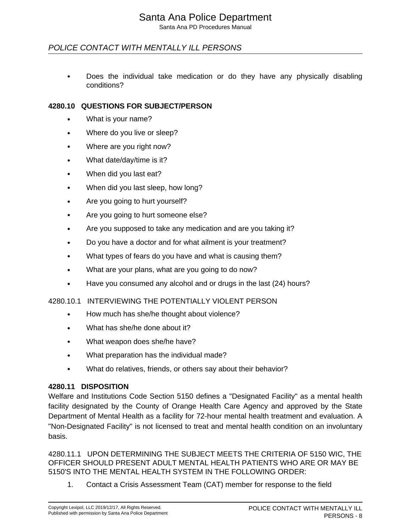### POLICE CONTACT WITH MENTALLY ILL PERSONS

• Does the individual take medication or do they have any physically disabling conditions?

#### **4280.10 QUESTIONS FOR SUBJECT/PERSON**

- What is your name?
- Where do you live or sleep?
- Where are you right now?
- What date/day/time is it?
- When did you last eat?
- When did you last sleep, how long?
- Are you going to hurt yourself?
- Are you going to hurt someone else?
- Are you supposed to take any medication and are you taking it?
- Do you have a doctor and for what ailment is your treatment?
- What types of fears do you have and what is causing them?
- What are your plans, what are you going to do now?
- Have you consumed any alcohol and or drugs in the last (24) hours?

#### 4280.10.1 INTERVIEWING THE POTENTIALLY VIOLENT PERSON

- How much has she/he thought about violence?
- What has she/he done about it?
- What weapon does she/he have?
- What preparation has the individual made?
- What do relatives, friends, or others say about their behavior?

#### **4280.11 DISPOSITION**

Welfare and Institutions Code Section 5150 defines a "Designated Facility" as a mental health facility designated by the County of Orange Health Care Agency and approved by the State Department of Mental Health as a facility for 72-hour mental health treatment and evaluation. A "Non-Designated Facility" is not licensed to treat and mental health condition on an involuntary basis.

4280.11.1 UPON DETERMINING THE SUBJECT MEETS THE CRITERIA OF 5150 WIC, THE OFFICER SHOULD PRESENT ADULT MENTAL HEALTH PATIENTS WHO ARE OR MAY BE 5150'S INTO THE MENTAL HEALTH SYSTEM IN THE FOLLOWING ORDER:

1. Contact a Crisis Assessment Team (CAT) member for response to the field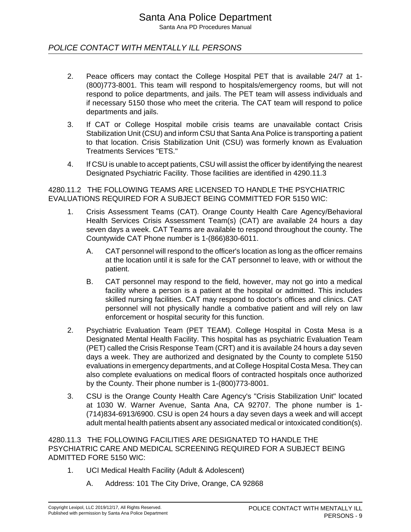### POLICE CONTACT WITH MENTALLY ILL PERSONS

- 2. Peace officers may contact the College Hospital PET that is available 24/7 at 1- (800)773-8001. This team will respond to hospitals/emergency rooms, but will not respond to police departments, and jails. The PET team will assess individuals and if necessary 5150 those who meet the criteria. The CAT team will respond to police departments and jails.
- 3. If CAT or College Hospital mobile crisis teams are unavailable contact Crisis Stabilization Unit (CSU) and inform CSU that Santa Ana Police is transporting a patient to that location. Crisis Stabilization Unit (CSU) was formerly known as Evaluation Treatments Services "ETS."
- 4. If CSU is unable to accept patients, CSU will assist the officer by identifying the nearest Designated Psychiatric Facility. Those facilities are identified in 4290.11.3

4280.11.2 THE FOLLOWING TEAMS ARE LICENSED TO HANDLE THE PSYCHIATRIC EVALUATIONS REQUIRED FOR A SUBJECT BEING COMMITTED FOR 5150 WIC:

- 1. Crisis Assessment Teams (CAT). Orange County Health Care Agency/Behavioral Health Services Crisis Assessment Team(s) (CAT) are available 24 hours a day seven days a week. CAT Teams are available to respond throughout the county. The Countywide CAT Phone number is 1-(866)830-6011.
	- A. CAT personnel will respond to the officer's location as long as the officer remains at the location until it is safe for the CAT personnel to leave, with or without the patient.
	- B. CAT personnel may respond to the field, however, may not go into a medical facility where a person is a patient at the hospital or admitted. This includes skilled nursing facilities. CAT may respond to doctor's offices and clinics. CAT personnel will not physically handle a combative patient and will rely on law enforcement or hospital security for this function.
- 2. Psychiatric Evaluation Team (PET TEAM). College Hospital in Costa Mesa is a Designated Mental Health Facility. This hospital has as psychiatric Evaluation Team (PET) called the Crisis Response Team (CRT) and it is available 24 hours a day seven days a week. They are authorized and designated by the County to complete 5150 evaluations in emergency departments, and at College Hospital Costa Mesa. They can also complete evaluations on medical floors of contracted hospitals once authorized by the County. Their phone number is 1-(800)773-8001.
- 3. CSU is the Orange County Health Care Agency's "Crisis Stabilization Unit" located at 1030 W. Warner Avenue, Santa Ana, CA 92707. The phone number is 1- (714)834-6913/6900. CSU is open 24 hours a day seven days a week and will accept adult mental health patients absent any associated medical or intoxicated condition(s).

4280.11.3 THE FOLLOWING FACILITIES ARE DESIGNATED TO HANDLE THE PSYCHIATRIC CARE AND MEDICAL SCREENING REQUIRED FOR A SUBJECT BEING ADMITTED FORE 5150 WIC:

- 1. UCI Medical Health Facility (Adult & Adolescent)
	- A. Address: 101 The City Drive, Orange, CA 92868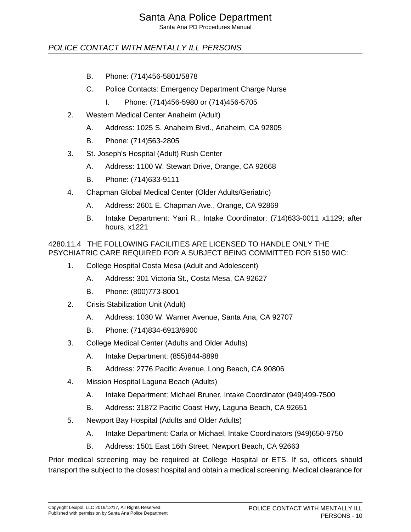Santa Ana PD Procedures Manual

### POLICE CONTACT WITH MENTALLY ILL PERSONS

- B. Phone: (714)456-5801/5878
- C. Police Contacts: Emergency Department Charge Nurse
	- I. Phone: (714)456-5980 or (714)456-5705
- 2. Western Medical Center Anaheim (Adult)
	- A. Address: 1025 S. Anaheim Blvd., Anaheim, CA 92805
	- B. Phone: (714)563-2805
- 3. St. Joseph's Hospital (Adult) Rush Center
	- A. Address: 1100 W. Stewart Drive, Orange, CA 92668
	- B. Phone: (714)633-9111
- 4. Chapman Global Medical Center (Older Adults/Geriatric)
	- A. Address: 2601 E. Chapman Ave., Orange, CA 92869
	- B. Intake Department: Yani R., Intake Coordinator: (714)633-0011 x1129; after hours, x1221

### 4280.11.4 THE FOLLOWING FACILITIES ARE LICENSED TO HANDLE ONLY THE PSYCHIATRIC CARE REQUIRED FOR A SUBJECT BEING COMMITTED FOR 5150 WIC:

- 1. College Hospital Costa Mesa (Adult and Adolescent)
	- A. Address: 301 Victoria St., Costa Mesa, CA 92627
	- B. Phone: (800)773-8001
- 2. Crisis Stabilization Unit (Adult)
	- A. Address: 1030 W. Warner Avenue, Santa Ana, CA 92707
	- B. Phone: (714)834-6913/6900
- 3. College Medical Center (Adults and Older Adults)
	- A. Intake Department: (855)844-8898
	- B. Address: 2776 Pacific Avenue, Long Beach, CA 90806
- 4. Mission Hospital Laguna Beach (Adults)
	- A. Intake Department: Michael Bruner, Intake Coordinator (949)499-7500
	- B. Address: 31872 Pacific Coast Hwy, Laguna Beach, CA 92651
- 5. Newport Bay Hospital (Adults and Older Adults)
	- A. Intake Department: Carla or Michael, Intake Coordinators (949)650-9750
	- B. Address: 1501 East 16th Street, Newport Beach, CA 92663

Prior medical screening may be required at College Hospital or ETS. If so, officers should transport the subject to the closest hospital and obtain a medical screening. Medical clearance for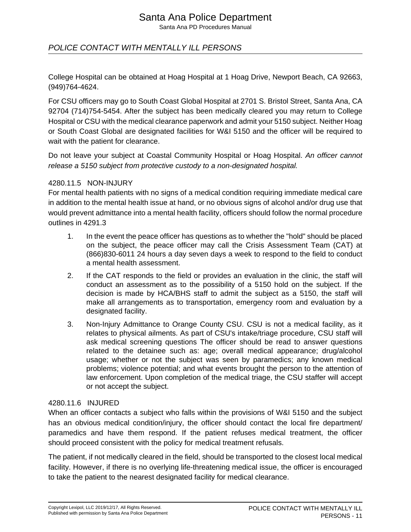Santa Ana PD Procedures Manual

### POLICE CONTACT WITH MENTALLY ILL PERSONS

College Hospital can be obtained at Hoag Hospital at 1 Hoag Drive, Newport Beach, CA 92663, (949)764-4624.

For CSU officers may go to South Coast Global Hospital at 2701 S. Bristol Street, Santa Ana, CA 92704 (714)754-5454. After the subject has been medically cleared you may return to College Hospital or CSU with the medical clearance paperwork and admit your 5150 subject. Neither Hoag or South Coast Global are designated facilities for W&I 5150 and the officer will be required to wait with the patient for clearance.

Do not leave your subject at Coastal Community Hospital or Hoag Hospital. An officer cannot release a 5150 subject from protective custody to a non-designated hospital.

#### 4280.11.5 NON-INJURY

For mental health patients with no signs of a medical condition requiring immediate medical care in addition to the mental health issue at hand, or no obvious signs of alcohol and/or drug use that would prevent admittance into a mental health facility, officers should follow the normal procedure outlines in 4291.3

- 1. In the event the peace officer has questions as to whether the "hold" should be placed on the subject, the peace officer may call the Crisis Assessment Team (CAT) at (866)830-6011 24 hours a day seven days a week to respond to the field to conduct a mental health assessment.
- 2. If the CAT responds to the field or provides an evaluation in the clinic, the staff will conduct an assessment as to the possibility of a 5150 hold on the subject. If the decision is made by HCA/BHS staff to admit the subject as a 5150, the staff will make all arrangements as to transportation, emergency room and evaluation by a designated facility.
- 3. Non-Injury Admittance to Orange County CSU. CSU is not a medical facility, as it relates to physical ailments. As part of CSU's intake/triage procedure, CSU staff will ask medical screening questions The officer should be read to answer questions related to the detainee such as: age; overall medical appearance; drug/alcohol usage; whether or not the subject was seen by paramedics; any known medical problems; violence potential; and what events brought the person to the attention of law enforcement. Upon completion of the medical triage, the CSU staffer will accept or not accept the subject.

#### 4280.11.6 INJURED

When an officer contacts a subject who falls within the provisions of W&I 5150 and the subject has an obvious medical condition/injury, the officer should contact the local fire department/ paramedics and have them respond. If the patient refuses medical treatment, the officer should proceed consistent with the policy for medical treatment refusals.

The patient, if not medically cleared in the field, should be transported to the closest local medical facility. However, if there is no overlying life-threatening medical issue, the officer is encouraged to take the patient to the nearest designated facility for medical clearance.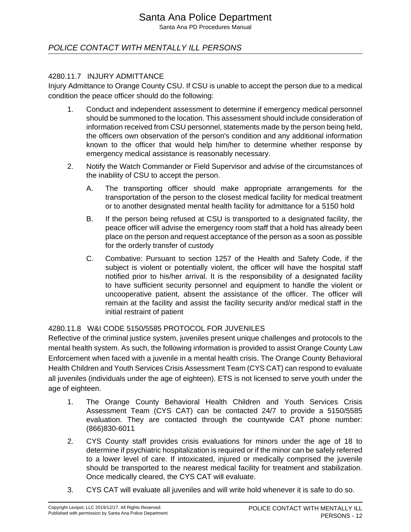Santa Ana PD Procedures Manual

### POLICE CONTACT WITH MENTALLY ILL PERSONS

### 4280.11.7 INJURY ADMITTANCE

Injury Admittance to Orange County CSU. If CSU is unable to accept the person due to a medical condition the peace officer should do the following:

- 1. Conduct and independent assessment to determine if emergency medical personnel should be summoned to the location. This assessment should include consideration of information received from CSU personnel, statements made by the person being held, the officers own observation of the person's condition and any additional information known to the officer that would help him/her to determine whether response by emergency medical assistance is reasonably necessary.
- 2. Notify the Watch Commander or Field Supervisor and advise of the circumstances of the inability of CSU to accept the person.
	- A. The transporting officer should make appropriate arrangements for the transportation of the person to the closest medical facility for medical treatment or to another designated mental health facility for admittance for a 5150 hold
	- B. If the person being refused at CSU is transported to a designated facility, the peace officer will advise the emergency room staff that a hold has already been place on the person and request acceptance of the person as a soon as possible for the orderly transfer of custody
	- C. Combative: Pursuant to section 1257 of the Health and Safety Code, if the subject is violent or potentially violent, the officer will have the hospital staff notified prior to his/her arrival. It is the responsibility of a designated facility to have sufficient security personnel and equipment to handle the violent or uncooperative patient, absent the assistance of the officer. The officer will remain at the facility and assist the facility security and/or medical staff in the initial restraint of patient

#### 4280.11.8 W&I CODE 5150/5585 PROTOCOL FOR JUVENILES

Reflective of the criminal justice system, juveniles present unique challenges and protocols to the mental health system. As such, the following information is provided to assist Orange County Law Enforcement when faced with a juvenile in a mental health crisis. The Orange County Behavioral Health Children and Youth Services Crisis Assessment Team (CYS CAT) can respond to evaluate all juveniles (individuals under the age of eighteen). ETS is not licensed to serve youth under the age of eighteen.

- 1. The Orange County Behavioral Health Children and Youth Services Crisis Assessment Team (CYS CAT) can be contacted 24/7 to provide a 5150/5585 evaluation. They are contacted through the countywide CAT phone number: (866)830-6011
- 2. CYS County staff provides crisis evaluations for minors under the age of 18 to determine if psychiatric hospitalization is required or if the minor can be safely referred to a lower level of care. If intoxicated, injured or medically comprised the juvenile should be transported to the nearest medical facility for treatment and stabilization. Once medically cleared, the CYS CAT will evaluate.
- 3. CYS CAT will evaluate all juveniles and will write hold whenever it is safe to do so.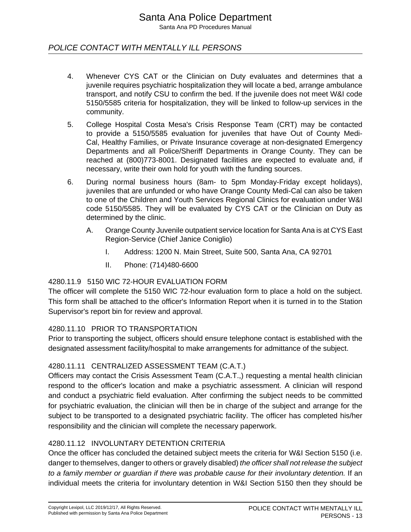### POLICE CONTACT WITH MENTALLY ILL PERSONS

- 4. Whenever CYS CAT or the Clinician on Duty evaluates and determines that a juvenile requires psychiatric hospitalization they will locate a bed, arrange ambulance transport, and notify CSU to confirm the bed. If the juvenile does not meet W&I code 5150/5585 criteria for hospitalization, they will be linked to follow-up services in the community.
- 5. College Hospital Costa Mesa's Crisis Response Team (CRT) may be contacted to provide a 5150/5585 evaluation for juveniles that have Out of County Medi-Cal, Healthy Families, or Private Insurance coverage at non-designated Emergency Departments and all Police/Sheriff Departments in Orange County. They can be reached at (800)773-8001. Designated facilities are expected to evaluate and, if necessary, write their own hold for youth with the funding sources.
- 6. During normal business hours (8am- to 5pm Monday-Friday except holidays), juveniles that are unfunded or who have Orange County Medi-Cal can also be taken to one of the Children and Youth Services Regional Clinics for evaluation under W&I code 5150/5585. They will be evaluated by CYS CAT or the Clinician on Duty as determined by the clinic.
	- A. Orange County Juvenile outpatient service location for Santa Ana is at CYS East Region-Service (Chief Janice Coniglio)
		- I. Address: 1200 N. Main Street, Suite 500, Santa Ana, CA 92701
		- II. Phone: (714)480-6600

### 4280.11.9 5150 WIC 72-HOUR EVALUATION FORM

The officer will complete the 5150 WIC 72-hour evaluation form to place a hold on the subject. This form shall be attached to the officer's Information Report when it is turned in to the Station Supervisor's report bin for review and approval.

### 4280.11.10 PRIOR TO TRANSPORTATION

Prior to transporting the subject, officers should ensure telephone contact is established with the designated assessment facility/hospital to make arrangements for admittance of the subject.

### 4280.11.11 CENTRALIZED ASSESSMENT TEAM (C.A.T.)

Officers may contact the Crisis Assessment Team (C.A.T.,) requesting a mental health clinician respond to the officer's location and make a psychiatric assessment. A clinician will respond and conduct a psychiatric field evaluation. After confirming the subject needs to be committed for psychiatric evaluation, the clinician will then be in charge of the subject and arrange for the subject to be transported to a designated psychiatric facility. The officer has completed his/her responsibility and the clinician will complete the necessary paperwork.

### 4280.11.12 INVOLUNTARY DETENTION CRITERIA

Once the officer has concluded the detained subject meets the criteria for W&I Section 5150 (i.e. danger to themselves, danger to others or gravely disabled) the officer shall not release the subject to a family member or guardian if there was probable cause for their involuntary detention. If an individual meets the criteria for involuntary detention in W&I Section 5150 then they should be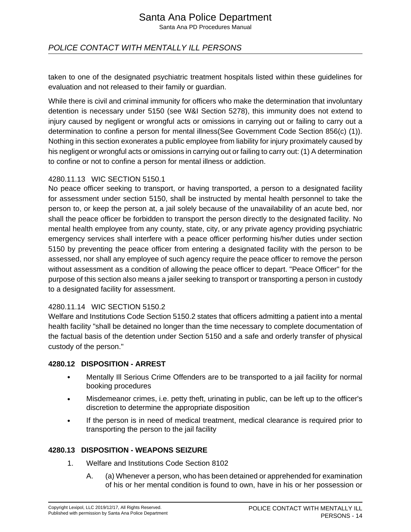Santa Ana PD Procedures Manual

### POLICE CONTACT WITH MENTALLY ILL PERSONS

taken to one of the designated psychiatric treatment hospitals listed within these guidelines for evaluation and not released to their family or guardian.

While there is civil and criminal immunity for officers who make the determination that involuntary detention is necessary under 5150 (see W&I Section 5278), this immunity does not extend to injury caused by negligent or wrongful acts or omissions in carrying out or failing to carry out a determination to confine a person for mental illness(See Government Code Section 856(c) (1)). Nothing in this section exonerates a public employee from liability for injury proximately caused by his negligent or wrongful acts or omissions in carrying out or failing to carry out: (1) A determination to confine or not to confine a person for mental illness or addiction.

### 4280.11.13 WIC SECTION 5150.1

No peace officer seeking to transport, or having transported, a person to a designated facility for assessment under section 5150, shall be instructed by mental health personnel to take the person to, or keep the person at, a jail solely because of the unavailability of an acute bed, nor shall the peace officer be forbidden to transport the person directly to the designated facility. No mental health employee from any county, state, city, or any private agency providing psychiatric emergency services shall interfere with a peace officer performing his/her duties under section 5150 by preventing the peace officer from entering a designated facility with the person to be assessed, nor shall any employee of such agency require the peace officer to remove the person without assessment as a condition of allowing the peace officer to depart. "Peace Officer" for the purpose of this section also means a jailer seeking to transport or transporting a person in custody to a designated facility for assessment.

### 4280.11.14 WIC SECTION 5150.2

Welfare and Institutions Code Section 5150.2 states that officers admitting a patient into a mental health facility "shall be detained no longer than the time necessary to complete documentation of the factual basis of the detention under Section 5150 and a safe and orderly transfer of physical custody of the person."

#### **4280.12 DISPOSITION - ARREST**

- Mentally III Serious Crime Offenders are to be transported to a jail facility for normal booking procedures
- Misdemeanor crimes, i.e. petty theft, urinating in public, can be left up to the officer's discretion to determine the appropriate disposition
- If the person is in need of medical treatment, medical clearance is required prior to transporting the person to the jail facility

#### **4280.13 DISPOSITION - WEAPONS SEIZURE**

- 1. Welfare and Institutions Code Section 8102
	- A. (a) Whenever a person, who has been detained or apprehended for examination of his or her mental condition is found to own, have in his or her possession or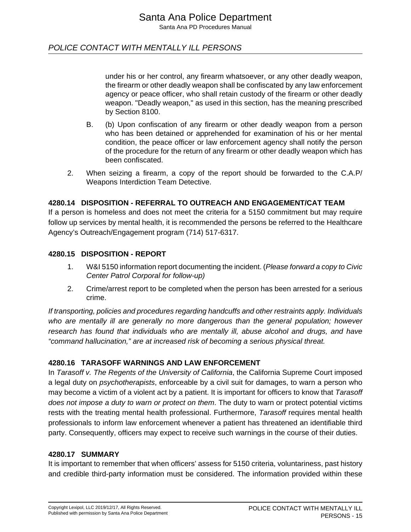### POLICE CONTACT WITH MENTALLY ILL PERSONS

under his or her control, any firearm whatsoever, or any other deadly weapon, the firearm or other deadly weapon shall be confiscated by any law enforcement agency or peace officer, who shall retain custody of the firearm or other deadly weapon. "Deadly weapon," as used in this section, has the meaning prescribed by Section 8100.

- B. (b) Upon confiscation of any firearm or other deadly weapon from a person who has been detained or apprehended for examination of his or her mental condition, the peace officer or law enforcement agency shall notify the person of the procedure for the return of any firearm or other deadly weapon which has been confiscated.
- 2. When seizing a firearm, a copy of the report should be forwarded to the C.A.P/ Weapons Interdiction Team Detective.

### **4280.14 DISPOSITION - REFERRAL TO OUTREACH AND ENGAGEMENT/CAT TEAM**

If a person is homeless and does not meet the criteria for a 5150 commitment but may require follow up services by mental health, it is recommended the persons be referred to the Healthcare Agency's Outreach/Engagement program (714) 517-6317.

### **4280.15 DISPOSITION - REPORT**

- 1. W&I 5150 information report documenting the incident. (Please forward a copy to Civic Center Patrol Corporal for follow-up)
- 2. Crime/arrest report to be completed when the person has been arrested for a serious crime.

If transporting, policies and procedures regarding handcuffs and other restraints apply. Individuals who are mentally ill are generally no more dangerous than the general population; however research has found that individuals who are mentally ill, abuse alcohol and drugs, and have "command hallucination," are at increased risk of becoming a serious physical threat.

### **4280.16 TARASOFF WARNINGS AND LAW ENFORCEMENT**

In Tarasoff v. The Regents of the University of California, the California Supreme Court imposed a legal duty on psychotherapists, enforceable by a civil suit for damages, to warn a person who may become a victim of a violent act by a patient. It is important for officers to know that Tarasoff does not impose a duty to warn or protect on them. The duty to warn or protect potential victims rests with the treating mental health professional. Furthermore, Tarasoff requires mental health professionals to inform law enforcement whenever a patient has threatened an identifiable third party. Consequently, officers may expect to receive such warnings in the course of their duties.

### **4280.17 SUMMARY**

It is important to remember that when officers' assess for 5150 criteria, voluntariness, past history and credible third-party information must be considered. The information provided within these